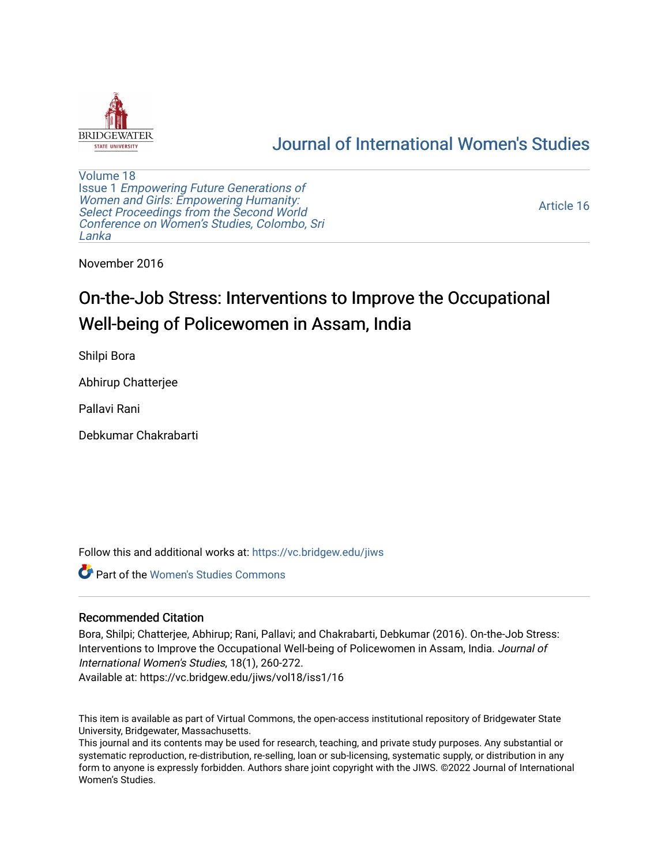

## [Journal of International Women's Studies](https://vc.bridgew.edu/jiws)

[Volume 18](https://vc.bridgew.edu/jiws/vol18) Issue 1 [Empowering Future Generations of](https://vc.bridgew.edu/jiws/vol18/iss1) [Women and Girls: Empowering Humanity:](https://vc.bridgew.edu/jiws/vol18/iss1) [Select Proceedings from the Second World](https://vc.bridgew.edu/jiws/vol18/iss1)  [Conference on Women's Studies, Colombo, Sri](https://vc.bridgew.edu/jiws/vol18/iss1)  [Lanka](https://vc.bridgew.edu/jiws/vol18/iss1) 

[Article 16](https://vc.bridgew.edu/jiws/vol18/iss1/16) 

November 2016

# On-the-Job Stress: Interventions to Improve the Occupational Well-being of Policewomen in Assam, India

Shilpi Bora

Abhirup Chatterjee

Pallavi Rani

Debkumar Chakrabarti

Follow this and additional works at: [https://vc.bridgew.edu/jiws](https://vc.bridgew.edu/jiws?utm_source=vc.bridgew.edu%2Fjiws%2Fvol18%2Fiss1%2F16&utm_medium=PDF&utm_campaign=PDFCoverPages)

**C** Part of the Women's Studies Commons

#### Recommended Citation

Bora, Shilpi; Chatterjee, Abhirup; Rani, Pallavi; and Chakrabarti, Debkumar (2016). On-the-Job Stress: Interventions to Improve the Occupational Well-being of Policewomen in Assam, India. Journal of International Women's Studies, 18(1), 260-272.

Available at: https://vc.bridgew.edu/jiws/vol18/iss1/16

This item is available as part of Virtual Commons, the open-access institutional repository of Bridgewater State University, Bridgewater, Massachusetts.

This journal and its contents may be used for research, teaching, and private study purposes. Any substantial or systematic reproduction, re-distribution, re-selling, loan or sub-licensing, systematic supply, or distribution in any form to anyone is expressly forbidden. Authors share joint copyright with the JIWS. ©2022 Journal of International Women's Studies.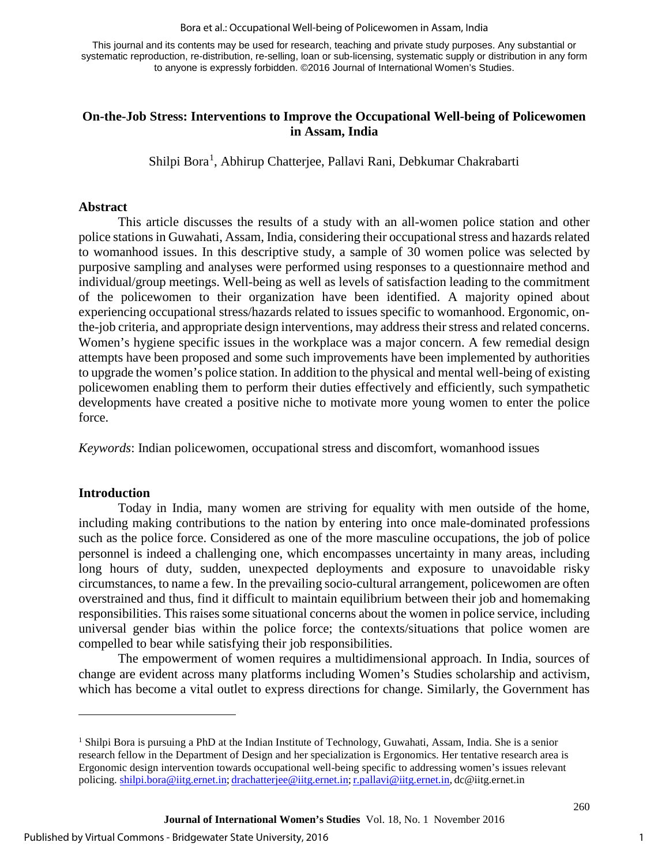#### Bora et al.: Occupational Well-being of Policewomen in Assam, India

This journal and its contents may be used for research, teaching and private study purposes. Any substantial or systematic reproduction, re-distribution, re-selling, loan or sub-licensing, systematic supply or distribution in any form to anyone is expressly forbidden. ©2016 Journal of International Women's Studies.

#### **On-the-Job Stress: Interventions to Improve the Occupational Well-being of Policewomen in Assam, India**

Shilpi Bora<sup>[1](#page-1-0)</sup>, Abhirup Chatterjee, Pallavi Rani, Debkumar Chakrabarti

#### **Abstract**

This article discusses the results of a study with an all-women police station and other police stations in Guwahati, Assam, India, considering their occupational stress and hazards related to womanhood issues. In this descriptive study, a sample of 30 women police was selected by purposive sampling and analyses were performed using responses to a questionnaire method and individual/group meetings. Well-being as well as levels of satisfaction leading to the commitment of the policewomen to their organization have been identified. A majority opined about experiencing occupational stress/hazards related to issues specific to womanhood. Ergonomic, onthe-job criteria, and appropriate design interventions, may address their stress and related concerns. Women's hygiene specific issues in the workplace was a major concern. A few remedial design attempts have been proposed and some such improvements have been implemented by authorities to upgrade the women's police station. In addition to the physical and mental well-being of existing policewomen enabling them to perform their duties effectively and efficiently, such sympathetic developments have created a positive niche to motivate more young women to enter the police force.

*Keywords*: Indian policewomen, occupational stress and discomfort, womanhood issues

#### **Introduction**

 $\overline{a}$ 

Today in India, many women are striving for equality with men outside of the home, including making contributions to the nation by entering into once male-dominated professions such as the police force. Considered as one of the more masculine occupations, the job of police personnel is indeed a challenging one, which encompasses uncertainty in many areas, including long hours of duty, sudden, unexpected deployments and exposure to unavoidable risky circumstances, to name a few. In the prevailing socio-cultural arrangement, policewomen are often overstrained and thus, find it difficult to maintain equilibrium between their job and homemaking responsibilities. This raises some situational concerns about the women in police service, including universal gender bias within the police force; the contexts/situations that police women are compelled to bear while satisfying their job responsibilities.

The empowerment of women requires a multidimensional approach. In India, sources of change are evident across many platforms including Women's Studies scholarship and activism, which has become a vital outlet to express directions for change. Similarly, the Government has

<span id="page-1-0"></span><sup>1</sup> Shilpi Bora is pursuing a PhD at the Indian Institute of Technology, Guwahati, Assam, India. She is a senior research fellow in the Department of Design and her specialization is Ergonomics. Her tentative research area is Ergonomic design intervention towards occupational well-being specific to addressing women's issues relevant policing. [shilpi.bora@iitg.ernet.in;](mailto:shilpi.bora@iitg.ernet.in) [drachatterjee@iitg.ernet.in;](mailto:drachatterjee@iitg.ernet.in) [r.pallavi@iitg.ernet.in,](mailto:r.pallavi@iitg.ernet.in) dc@iitg.ernet.in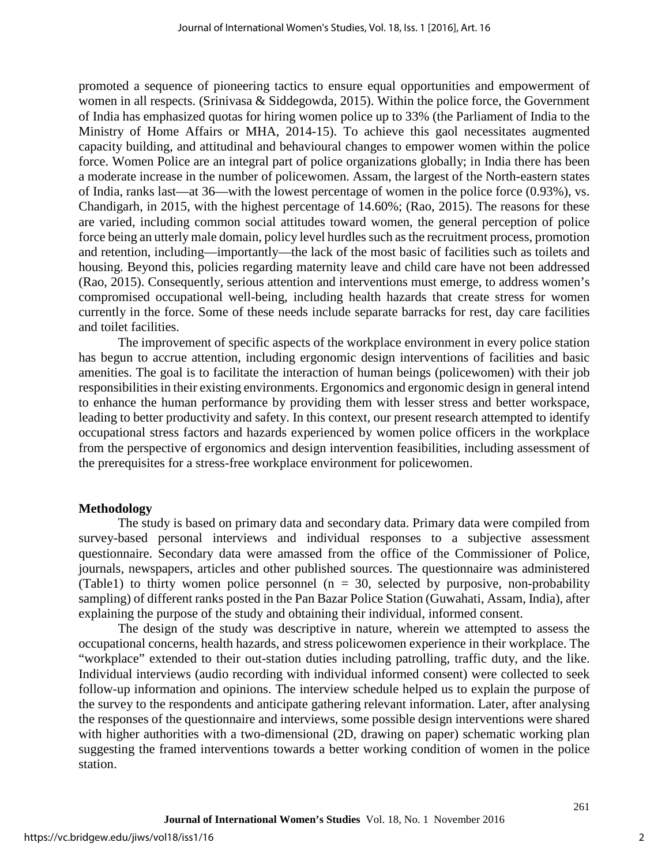promoted a sequence of pioneering tactics to ensure equal opportunities and empowerment of women in all respects. (Srinivasa & Siddegowda, 2015). Within the police force, the Government of India has emphasized quotas for hiring women police up to 33% (the Parliament of India to the Ministry of Home Affairs or MHA, 2014-15). To achieve this gaol necessitates augmented capacity building, and attitudinal and behavioural changes to empower women within the police force. Women Police are an integral part of police organizations globally; in India there has been a moderate increase in the number of policewomen. Assam, the largest of the North-eastern states of India, ranks last—at 36—with the lowest percentage of women in the police force (0.93%), vs. Chandigarh, in 2015, with the highest percentage of 14.60%; (Rao, 2015). The reasons for these are varied, including common social attitudes toward women, the general perception of police force being an utterly male domain, policy level hurdles such as the recruitment process, promotion and retention, including—importantly—the lack of the most basic of facilities such as toilets and housing. Beyond this, policies regarding maternity leave and child care have not been addressed (Rao, 2015). Consequently, serious attention and interventions must emerge, to address women's compromised occupational well-being, including health hazards that create stress for women currently in the force. Some of these needs include separate barracks for rest, day care facilities and toilet facilities.

The improvement of specific aspects of the workplace environment in every police station has begun to accrue attention, including ergonomic design interventions of facilities and basic amenities. The goal is to facilitate the interaction of human beings (policewomen) with their job responsibilities in their existing environments. Ergonomics and ergonomic design in general intend to enhance the human performance by providing them with lesser stress and better workspace, leading to better productivity and safety. In this context, our present research attempted to identify occupational stress factors and hazards experienced by women police officers in the workplace from the perspective of ergonomics and design intervention feasibilities, including assessment of the prerequisites for a stress-free workplace environment for policewomen.

#### **Methodology**

The study is based on primary data and secondary data. Primary data were compiled from survey-based personal interviews and individual responses to a subjective assessment questionnaire. Secondary data were amassed from the office of the Commissioner of Police, journals, newspapers, articles and other published sources. The questionnaire was administered (Table1) to thirty women police personnel ( $n = 30$ , selected by purposive, non-probability sampling) of different ranks posted in the Pan Bazar Police Station (Guwahati, Assam, India), after explaining the purpose of the study and obtaining their individual, informed consent.

The design of the study was descriptive in nature, wherein we attempted to assess the occupational concerns, health hazards, and stress policewomen experience in their workplace. The "workplace" extended to their out-station duties including patrolling, traffic duty, and the like. Individual interviews (audio recording with individual informed consent) were collected to seek follow-up information and opinions. The interview schedule helped us to explain the purpose of the survey to the respondents and anticipate gathering relevant information. Later, after analysing the responses of the questionnaire and interviews, some possible design interventions were shared with higher authorities with a two-dimensional (2D, drawing on paper) schematic working plan suggesting the framed interventions towards a better working condition of women in the police station.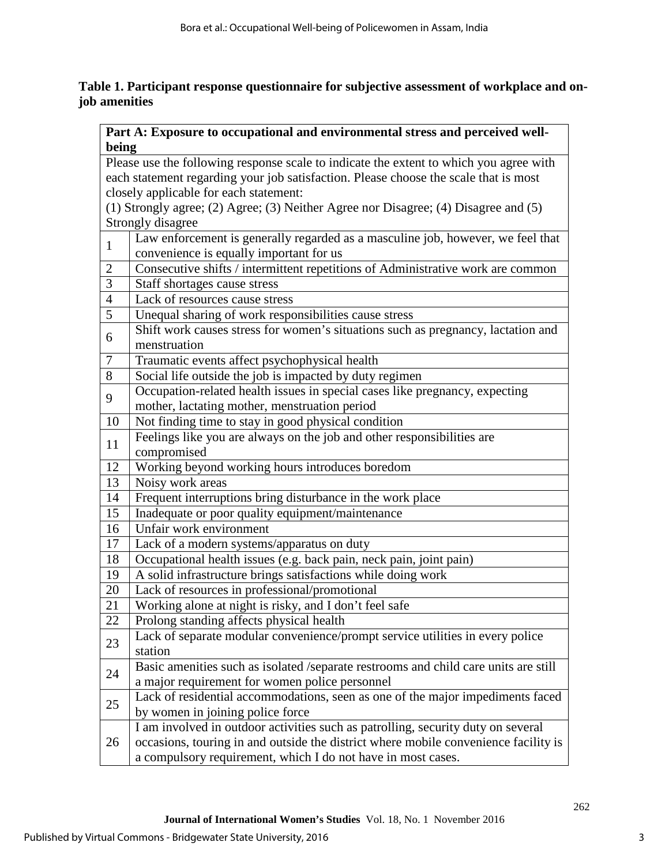## **Table 1. Participant response questionnaire for subjective assessment of workplace and onjob amenities**

|                | Part A: Exposure to occupational and environmental stress and perceived well-          |  |  |  |  |  |  |  |  |  |
|----------------|----------------------------------------------------------------------------------------|--|--|--|--|--|--|--|--|--|
| being          |                                                                                        |  |  |  |  |  |  |  |  |  |
|                | Please use the following response scale to indicate the extent to which you agree with |  |  |  |  |  |  |  |  |  |
|                | each statement regarding your job satisfaction. Please choose the scale that is most   |  |  |  |  |  |  |  |  |  |
|                | closely applicable for each statement:                                                 |  |  |  |  |  |  |  |  |  |
|                | (1) Strongly agree; (2) Agree; (3) Neither Agree nor Disagree; (4) Disagree and (5)    |  |  |  |  |  |  |  |  |  |
|                | Strongly disagree                                                                      |  |  |  |  |  |  |  |  |  |
|                | Law enforcement is generally regarded as a masculine job, however, we feel that        |  |  |  |  |  |  |  |  |  |
| $\mathbf{1}$   | convenience is equally important for us                                                |  |  |  |  |  |  |  |  |  |
| $\overline{2}$ | Consecutive shifts / intermittent repetitions of Administrative work are common        |  |  |  |  |  |  |  |  |  |
| 3              | Staff shortages cause stress                                                           |  |  |  |  |  |  |  |  |  |
| $\overline{4}$ | Lack of resources cause stress                                                         |  |  |  |  |  |  |  |  |  |
| 5              | Unequal sharing of work responsibilities cause stress                                  |  |  |  |  |  |  |  |  |  |
|                | Shift work causes stress for women's situations such as pregnancy, lactation and       |  |  |  |  |  |  |  |  |  |
| 6              | menstruation                                                                           |  |  |  |  |  |  |  |  |  |
| $\tau$         | Traumatic events affect psychophysical health                                          |  |  |  |  |  |  |  |  |  |
| 8              | Social life outside the job is impacted by duty regimen                                |  |  |  |  |  |  |  |  |  |
|                | Occupation-related health issues in special cases like pregnancy, expecting            |  |  |  |  |  |  |  |  |  |
| 9              | mother, lactating mother, menstruation period                                          |  |  |  |  |  |  |  |  |  |
| 10             | Not finding time to stay in good physical condition                                    |  |  |  |  |  |  |  |  |  |
|                | Feelings like you are always on the job and other responsibilities are                 |  |  |  |  |  |  |  |  |  |
| 11             | compromised                                                                            |  |  |  |  |  |  |  |  |  |
| 12             | Working beyond working hours introduces boredom                                        |  |  |  |  |  |  |  |  |  |
| 13             | Noisy work areas                                                                       |  |  |  |  |  |  |  |  |  |
| 14             | Frequent interruptions bring disturbance in the work place                             |  |  |  |  |  |  |  |  |  |
| 15             | Inadequate or poor quality equipment/maintenance                                       |  |  |  |  |  |  |  |  |  |
| 16             | Unfair work environment                                                                |  |  |  |  |  |  |  |  |  |
| 17             | Lack of a modern systems/apparatus on duty                                             |  |  |  |  |  |  |  |  |  |
| 18             | Occupational health issues (e.g. back pain, neck pain, joint pain)                     |  |  |  |  |  |  |  |  |  |
| 19             | A solid infrastructure brings satisfactions while doing work                           |  |  |  |  |  |  |  |  |  |
| 20             | Lack of resources in professional/promotional                                          |  |  |  |  |  |  |  |  |  |
| 21             | Working alone at night is risky, and I don't feel safe                                 |  |  |  |  |  |  |  |  |  |
| 22             | Prolong standing affects physical health                                               |  |  |  |  |  |  |  |  |  |
|                | Lack of separate modular convenience/prompt service utilities in every police          |  |  |  |  |  |  |  |  |  |
| 23             | station                                                                                |  |  |  |  |  |  |  |  |  |
|                | Basic amenities such as isolated /separate restrooms and child care units are still    |  |  |  |  |  |  |  |  |  |
| 24             | a major requirement for women police personnel                                         |  |  |  |  |  |  |  |  |  |
|                | Lack of residential accommodations, seen as one of the major impediments faced         |  |  |  |  |  |  |  |  |  |
| 25             | by women in joining police force                                                       |  |  |  |  |  |  |  |  |  |
|                | I am involved in outdoor activities such as patrolling, security duty on several       |  |  |  |  |  |  |  |  |  |
| 26             | occasions, touring in and outside the district where mobile convenience facility is    |  |  |  |  |  |  |  |  |  |
|                | a compulsory requirement, which I do not have in most cases.                           |  |  |  |  |  |  |  |  |  |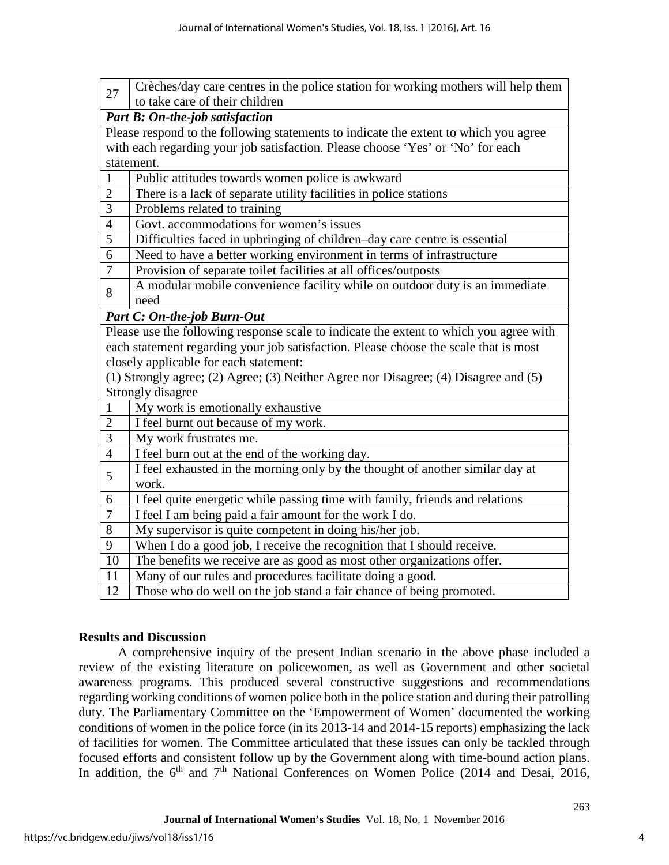| Crèches/day care centres in the police station for working mothers will help them<br>27     |  |  |  |  |  |  |  |  |  |  |
|---------------------------------------------------------------------------------------------|--|--|--|--|--|--|--|--|--|--|
| to take care of their children                                                              |  |  |  |  |  |  |  |  |  |  |
| Part B: On-the-job satisfaction                                                             |  |  |  |  |  |  |  |  |  |  |
| Please respond to the following statements to indicate the extent to which you agree        |  |  |  |  |  |  |  |  |  |  |
| with each regarding your job satisfaction. Please choose 'Yes' or 'No' for each             |  |  |  |  |  |  |  |  |  |  |
| statement.                                                                                  |  |  |  |  |  |  |  |  |  |  |
| $\mathbf{1}$<br>Public attitudes towards women police is awkward<br>$\overline{2}$          |  |  |  |  |  |  |  |  |  |  |
| There is a lack of separate utility facilities in police stations                           |  |  |  |  |  |  |  |  |  |  |
| $\overline{3}$<br>Problems related to training                                              |  |  |  |  |  |  |  |  |  |  |
| $\overline{4}$<br>Govt. accommodations for women's issues                                   |  |  |  |  |  |  |  |  |  |  |
| 5<br>Difficulties faced in upbringing of children-day care centre is essential              |  |  |  |  |  |  |  |  |  |  |
| 6<br>Need to have a better working environment in terms of infrastructure                   |  |  |  |  |  |  |  |  |  |  |
| $\overline{7}$<br>Provision of separate toilet facilities at all offices/outposts           |  |  |  |  |  |  |  |  |  |  |
| A modular mobile convenience facility while on outdoor duty is an immediate<br>8            |  |  |  |  |  |  |  |  |  |  |
| need                                                                                        |  |  |  |  |  |  |  |  |  |  |
| <b>Part C: On-the-job Burn-Out</b>                                                          |  |  |  |  |  |  |  |  |  |  |
| Please use the following response scale to indicate the extent to which you agree with      |  |  |  |  |  |  |  |  |  |  |
| each statement regarding your job satisfaction. Please choose the scale that is most        |  |  |  |  |  |  |  |  |  |  |
| closely applicable for each statement:                                                      |  |  |  |  |  |  |  |  |  |  |
| (1) Strongly agree; (2) Agree; (3) Neither Agree nor Disagree; (4) Disagree and (5)         |  |  |  |  |  |  |  |  |  |  |
| Strongly disagree                                                                           |  |  |  |  |  |  |  |  |  |  |
| My work is emotionally exhaustive<br>1                                                      |  |  |  |  |  |  |  |  |  |  |
| $\overline{2}$<br>I feel burnt out because of my work.                                      |  |  |  |  |  |  |  |  |  |  |
| $\overline{3}$<br>My work frustrates me.                                                    |  |  |  |  |  |  |  |  |  |  |
| $\overline{4}$<br>I feel burn out at the end of the working day.                            |  |  |  |  |  |  |  |  |  |  |
| I feel exhausted in the morning only by the thought of another similar day at<br>5<br>work. |  |  |  |  |  |  |  |  |  |  |
| I feel quite energetic while passing time with family, friends and relations<br>6           |  |  |  |  |  |  |  |  |  |  |
| $\overline{7}$<br>I feel I am being paid a fair amount for the work I do.                   |  |  |  |  |  |  |  |  |  |  |
| 8<br>My supervisor is quite competent in doing his/her job.                                 |  |  |  |  |  |  |  |  |  |  |
| 9<br>When I do a good job, I receive the recognition that I should receive.                 |  |  |  |  |  |  |  |  |  |  |
| 10<br>The benefits we receive are as good as most other organizations offer.                |  |  |  |  |  |  |  |  |  |  |
| Many of our rules and procedures facilitate doing a good.<br>11                             |  |  |  |  |  |  |  |  |  |  |
| 12<br>Those who do well on the job stand a fair chance of being promoted.                   |  |  |  |  |  |  |  |  |  |  |

#### **Results and Discussion**

A comprehensive inquiry of the present Indian scenario in the above phase included a review of the existing literature on policewomen, as well as Government and other societal awareness programs. This produced several constructive suggestions and recommendations regarding working conditions of women police both in the police station and during their patrolling duty. The Parliamentary Committee on the 'Empowerment of Women' documented the working conditions of women in the police force (in its 2013-14 and 2014-15 reports) emphasizing the lack of facilities for women. The Committee articulated that these issues can only be tackled through focused efforts and consistent follow up by the Government along with time-bound action plans. In addition, the  $6<sup>th</sup>$  and  $7<sup>th</sup>$  National Conferences on Women Police (2014 and Desai, 2016,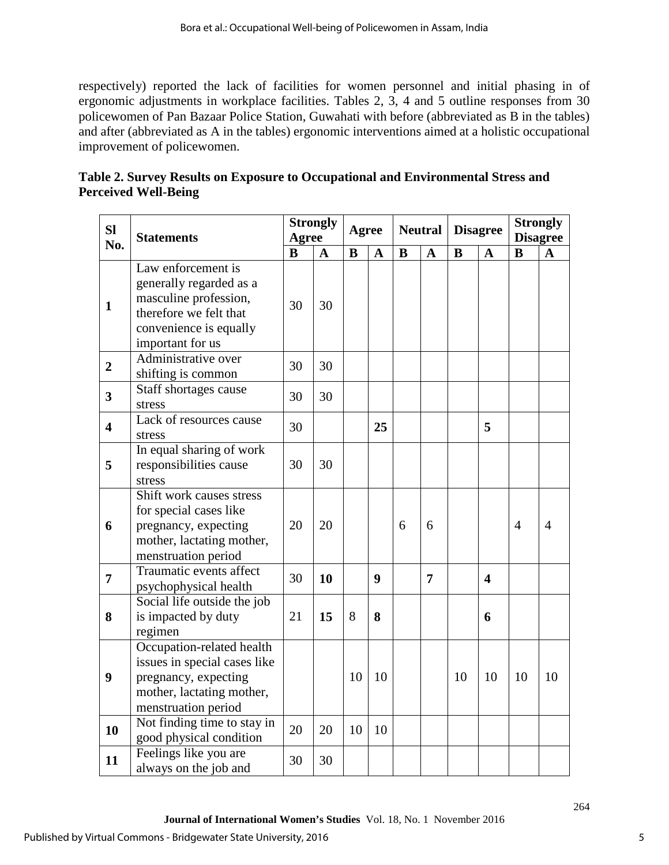respectively) reported the lack of facilities for women personnel and initial phasing in of ergonomic adjustments in workplace facilities. Tables 2, 3, 4 and 5 outline responses from 30 policewomen of Pan Bazaar Police Station, Guwahati with before (abbreviated as B in the tables) and after (abbreviated as A in the tables) ergonomic interventions aimed at a holistic occupational improvement of policewomen.

| Table 2. Survey Results on Exposure to Occupational and Environmental Stress and |  |
|----------------------------------------------------------------------------------|--|
| <b>Perceived Well-Being</b>                                                      |  |

| <b>Sl</b><br>No.        | <b>Statements</b>                                                                                                                              |          | <b>Strongly</b><br>Agree |          | <b>Agree</b> |          | <b>Neutral</b> |          | <b>Disagree</b>         |                | <b>Strongly</b><br><b>Disagree</b> |  |
|-------------------------|------------------------------------------------------------------------------------------------------------------------------------------------|----------|--------------------------|----------|--------------|----------|----------------|----------|-------------------------|----------------|------------------------------------|--|
|                         |                                                                                                                                                | $\bf{B}$ | $\mathbf{A}$             | $\bf{B}$ | $\mathbf{A}$ | $\bf{B}$ | $\mathbf{A}$   | $\bf{B}$ | $\mathbf{A}$            | B              | A                                  |  |
| $\mathbf{1}$            | Law enforcement is<br>generally regarded as a<br>masculine profession,<br>therefore we felt that<br>convenience is equally<br>important for us | 30       | 30                       |          |              |          |                |          |                         |                |                                    |  |
| $\overline{2}$          | Administrative over<br>shifting is common                                                                                                      | 30       | 30                       |          |              |          |                |          |                         |                |                                    |  |
| $\overline{\mathbf{3}}$ | Staff shortages cause<br>stress                                                                                                                | 30       | 30                       |          |              |          |                |          |                         |                |                                    |  |
| $\overline{\mathbf{4}}$ | Lack of resources cause<br>stress                                                                                                              | 30       |                          |          | 25           |          |                |          | 5                       |                |                                    |  |
| 5                       | In equal sharing of work<br>responsibilities cause<br>stress                                                                                   | 30       | 30                       |          |              |          |                |          |                         |                |                                    |  |
| 6                       | Shift work causes stress<br>for special cases like<br>pregnancy, expecting<br>mother, lactating mother,<br>menstruation period                 | 20       | 20                       |          |              | 6        | 6              |          |                         | $\overline{4}$ | $\overline{4}$                     |  |
| 7                       | Traumatic events affect<br>psychophysical health                                                                                               | 30       | 10                       |          | 9            |          | 7              |          | $\overline{\mathbf{4}}$ |                |                                    |  |
| 8                       | Social life outside the job<br>is impacted by duty<br>regimen                                                                                  | 21       | 15                       | 8        | 8            |          |                |          | 6                       |                |                                    |  |
| $\boldsymbol{9}$        | Occupation-related health<br>issues in special cases like<br>pregnancy, expecting<br>mother, lactating mother,<br>menstruation period          |          |                          | 10       | 10           |          |                | 10       | 10                      | 10             | 10                                 |  |
| 10                      | Not finding time to stay in<br>good physical condition                                                                                         | 20       | 20                       | 10       | 10           |          |                |          |                         |                |                                    |  |
| 11                      | Feelings like you are<br>always on the job and                                                                                                 | 30       | 30                       |          |              |          |                |          |                         |                |                                    |  |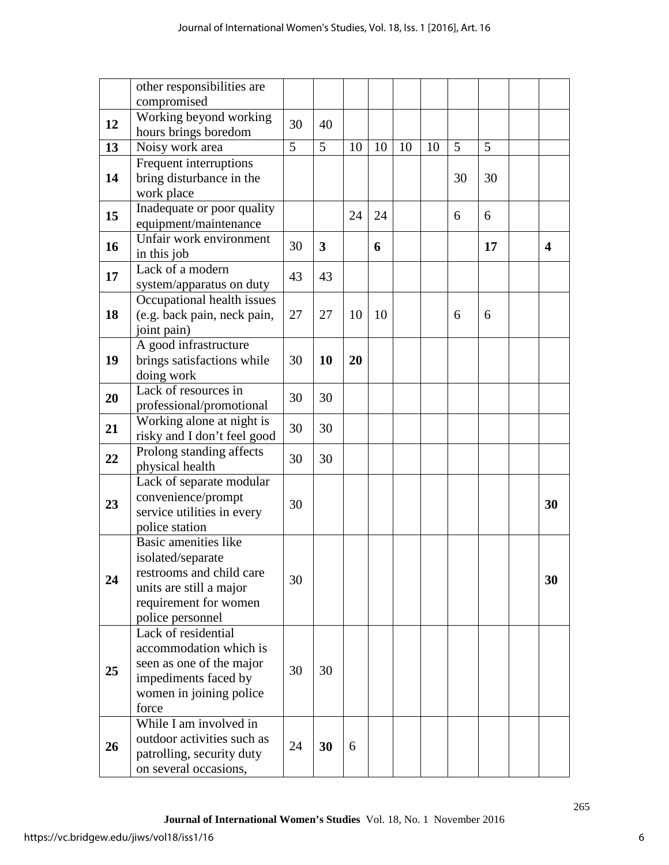|    | other responsibilities are                                                                                                                    |    |                         |    |    |    |    |    |    |                         |
|----|-----------------------------------------------------------------------------------------------------------------------------------------------|----|-------------------------|----|----|----|----|----|----|-------------------------|
|    | compromised                                                                                                                                   |    |                         |    |    |    |    |    |    |                         |
| 12 | Working beyond working<br>hours brings boredom                                                                                                | 30 | 40                      |    |    |    |    |    |    |                         |
| 13 | Noisy work area                                                                                                                               | 5  | 5                       | 10 | 10 | 10 | 10 | 5  | 5  |                         |
| 14 | Frequent interruptions<br>bring disturbance in the<br>work place                                                                              |    |                         |    |    |    |    | 30 | 30 |                         |
| 15 | Inadequate or poor quality<br>equipment/maintenance                                                                                           |    |                         | 24 | 24 |    |    | 6  | 6  |                         |
| 16 | Unfair work environment<br>in this job                                                                                                        | 30 | $\overline{\mathbf{3}}$ |    | 6  |    |    |    | 17 | $\overline{\mathbf{4}}$ |
| 17 | Lack of a modern<br>system/apparatus on duty                                                                                                  | 43 | 43                      |    |    |    |    |    |    |                         |
| 18 | Occupational health issues<br>(e.g. back pain, neck pain,<br>joint pain)                                                                      | 27 | 27                      | 10 | 10 |    |    | 6  | 6  |                         |
| 19 | A good infrastructure<br>brings satisfactions while<br>doing work                                                                             | 30 | 10                      | 20 |    |    |    |    |    |                         |
| 20 | Lack of resources in<br>professional/promotional                                                                                              | 30 | 30                      |    |    |    |    |    |    |                         |
| 21 | Working alone at night is<br>risky and I don't feel good                                                                                      | 30 | 30                      |    |    |    |    |    |    |                         |
| 22 | Prolong standing affects<br>physical health                                                                                                   | 30 | 30                      |    |    |    |    |    |    |                         |
| 23 | Lack of separate modular<br>convenience/prompt<br>service utilities in every<br>police station                                                | 30 |                         |    |    |    |    |    |    | 30                      |
| 24 | Basic amenities like<br>isolated/separate<br>restrooms and child care<br>units are still a major<br>requirement for women<br>police personnel | 30 |                         |    |    |    |    |    |    | 30                      |
| 25 | Lack of residential<br>accommodation which is<br>seen as one of the major<br>impediments faced by<br>women in joining police<br>force         | 30 | 30                      |    |    |    |    |    |    |                         |
| 26 | While I am involved in<br>outdoor activities such as<br>patrolling, security duty<br>on several occasions,                                    | 24 | 30                      | 6  |    |    |    |    |    |                         |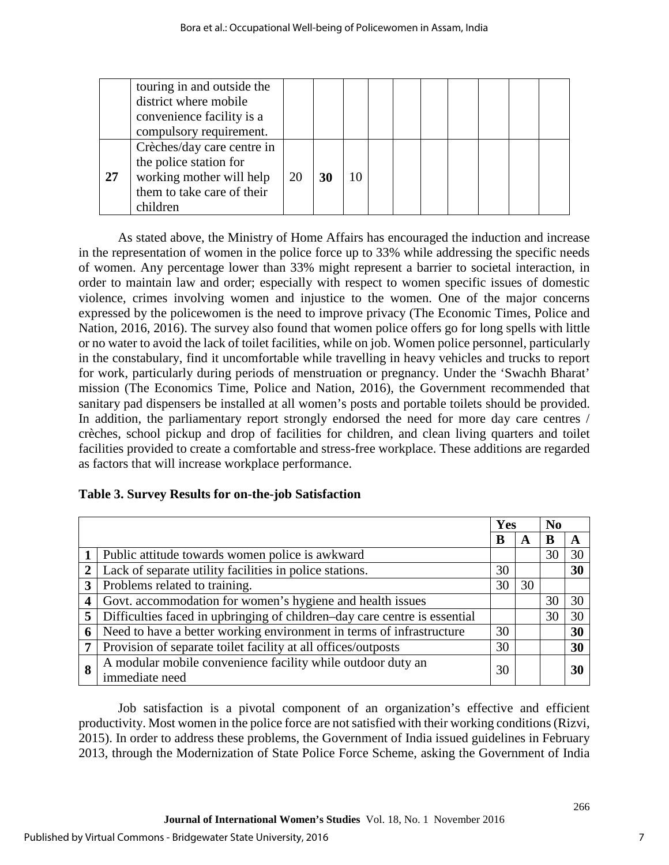|    | touring in and outside the<br>district where mobile<br>convenience facility is a<br>compulsory requirement.                |    |    |    |  |  |  |  |
|----|----------------------------------------------------------------------------------------------------------------------------|----|----|----|--|--|--|--|
| 27 | Crèches/day care centre in<br>the police station for<br>working mother will help<br>them to take care of their<br>children | 20 | 30 | 10 |  |  |  |  |

As stated above, the Ministry of Home Affairs has encouraged the induction and increase in the representation of women in the police force up to 33% while addressing the specific needs of women. Any percentage lower than 33% might represent a barrier to societal interaction, in order to maintain law and order; especially with respect to women specific issues of domestic violence, crimes involving women and injustice to the women. One of the major concerns expressed by the policewomen is the need to improve privacy (The Economic Times, Police and Nation, 2016, 2016). The survey also found that women police offers go for long spells with little or no water to avoid the lack of toilet facilities, while on job. Women police personnel, particularly in the constabulary, find it uncomfortable while travelling in heavy vehicles and trucks to report for work, particularly during periods of menstruation or pregnancy. Under the 'Swachh Bharat' mission (The Economics Time, Police and Nation, 2016), the Government recommended that sanitary pad dispensers be installed at all women's posts and portable toilets should be provided. In addition, the parliamentary report strongly endorsed the need for more day care centres / crèches, school pickup and drop of facilities for children, and clean living quarters and toilet facilities provided to create a comfortable and stress-free workplace. These additions are regarded as factors that will increase workplace performance.

|  |  |  | Table 3. Survey Results for on-the-job Satisfaction |
|--|--|--|-----------------------------------------------------|
|  |  |  |                                                     |

|                         |                                                                               | Yes |    | N <sub>0</sub> |    |
|-------------------------|-------------------------------------------------------------------------------|-----|----|----------------|----|
|                         |                                                                               | B   | A  | B              | A  |
|                         | Public attitude towards women police is awkward                               |     |    | 30             | 30 |
| $\overline{2}$          | Lack of separate utility facilities in police stations.                       | 30  |    |                | 30 |
| 3                       | Problems related to training.                                                 | 30  | 30 |                |    |
| $\overline{\mathbf{4}}$ | Govt. accommodation for women's hygiene and health issues                     |     |    | 30             | 30 |
| 5                       | Difficulties faced in upbringing of children-day care centre is essential     |     |    | 30             | 30 |
| 6                       | Need to have a better working environment in terms of infrastructure          | 30  |    |                | 30 |
| 7                       | Provision of separate toilet facility at all offices/outposts                 | 30  |    |                | 30 |
| 8                       | A modular mobile convenience facility while outdoor duty an<br>immediate need | 30  |    |                | 30 |

Job satisfaction is a pivotal component of an organization's effective and efficient productivity. Most women in the police force are not satisfied with their working conditions (Rizvi, 2015). In order to address these problems, the Government of India issued guidelines in February 2013, through the Modernization of State Police Force Scheme, asking the Government of India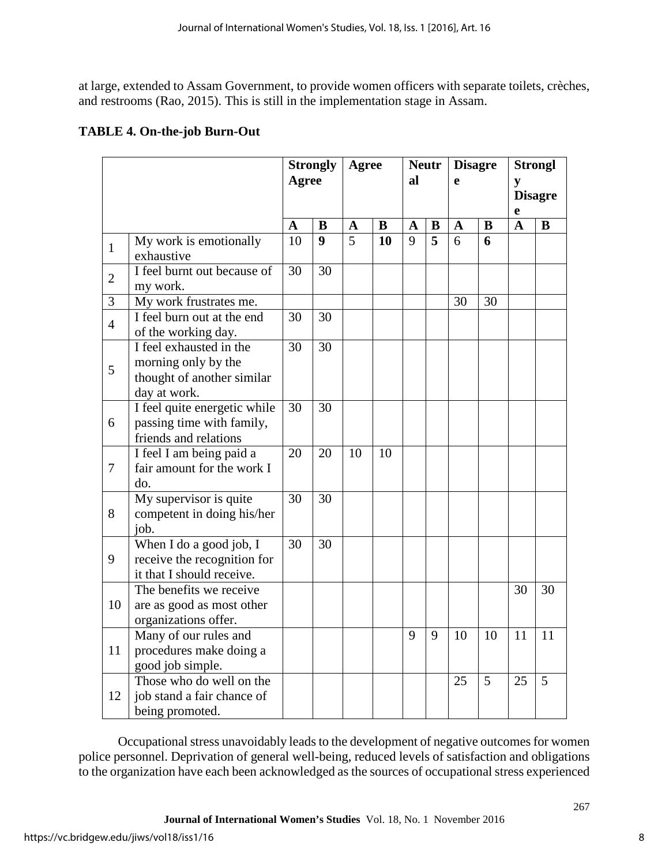at large, extended to Assam Government, to provide women officers with separate toilets, crèches, and restrooms (Rao, 2015). This is still in the implementation stage in Assam.

## **TABLE 4. On-the-job Burn-Out**

|                |                                                                                              | <b>Strongly</b><br>Agree |                  | <b>Agree</b> |          | <b>Neutr</b><br>al |   | <b>Disagre</b><br>e |    | <b>Strongl</b><br>y<br><b>Disagre</b><br>e |    |
|----------------|----------------------------------------------------------------------------------------------|--------------------------|------------------|--------------|----------|--------------------|---|---------------------|----|--------------------------------------------|----|
|                |                                                                                              |                          |                  | $\mathbf A$  | $\bf{B}$ | $\mathbf A$        | B | $\mathbf A$         | B  | $\overline{\mathbf{A}}$                    | B  |
| $\mathbf{1}$   | My work is emotionally<br>exhaustive                                                         | 10                       | $\boldsymbol{9}$ | 5            | 10       | 9                  | 5 | 6                   | 6  |                                            |    |
| $\overline{2}$ | I feel burnt out because of<br>my work.                                                      | 30                       | 30               |              |          |                    |   |                     |    |                                            |    |
| 3              | My work frustrates me.                                                                       |                          |                  |              |          |                    |   | 30                  | 30 |                                            |    |
| $\overline{4}$ | I feel burn out at the end<br>of the working day.                                            |                          | 30               |              |          |                    |   |                     |    |                                            |    |
| 5              | I feel exhausted in the<br>morning only by the<br>thought of another similar<br>day at work. |                          | 30               |              |          |                    |   |                     |    |                                            |    |
| 6              | I feel quite energetic while<br>passing time with family,<br>friends and relations           | 30                       | 30               |              |          |                    |   |                     |    |                                            |    |
| $\tau$         | I feel I am being paid a<br>fair amount for the work I<br>do.                                | 20                       | $\overline{20}$  | 10           | 10       |                    |   |                     |    |                                            |    |
| 8              | My supervisor is quite<br>competent in doing his/her<br>job.                                 | 30                       | 30               |              |          |                    |   |                     |    |                                            |    |
| 9              | When I do a good job, I<br>receive the recognition for<br>it that I should receive.          | 30                       | 30               |              |          |                    |   |                     |    |                                            |    |
| 10             | The benefits we receive<br>are as good as most other<br>organizations offer.                 |                          |                  |              |          |                    |   |                     |    | 30                                         | 30 |
| 11             | Many of our rules and<br>procedures make doing a<br>good job simple.                         |                          |                  |              |          | 9                  | 9 | 10                  | 10 | 11                                         | 11 |
| 12             | Those who do well on the<br>job stand a fair chance of<br>being promoted.                    |                          |                  |              |          |                    |   | 25                  | 5  | 25                                         | 5  |

Occupational stress unavoidably leads to the development of negative outcomes for women police personnel. Deprivation of general well-being, reduced levels of satisfaction and obligations to the organization have each been acknowledged as the sources of occupational stress experienced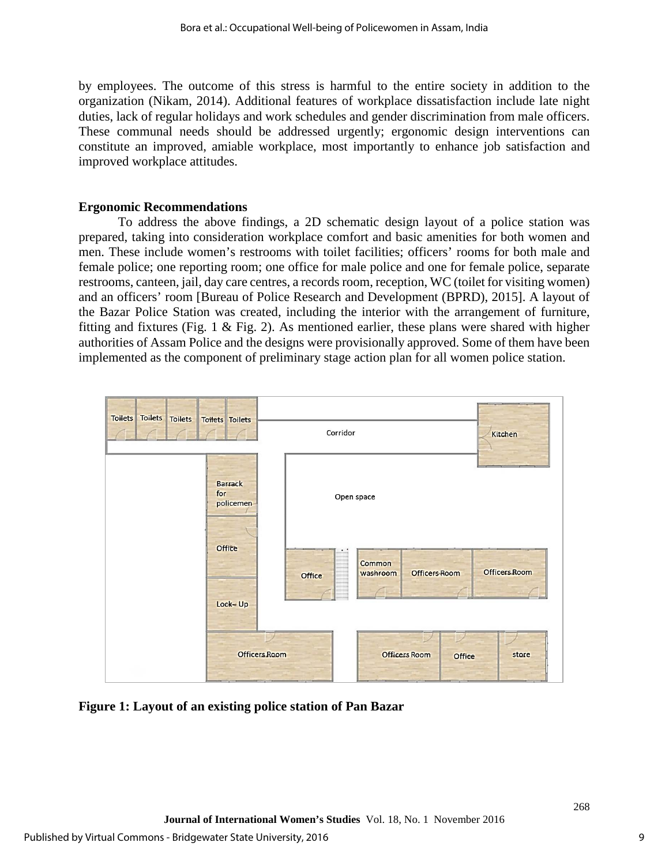by employees. The outcome of this stress is harmful to the entire society in addition to the organization (Nikam, 2014). Additional features of workplace dissatisfaction include late night duties, lack of regular holidays and work schedules and gender discrimination from male officers. These communal needs should be addressed urgently; ergonomic design interventions can constitute an improved, amiable workplace, most importantly to enhance job satisfaction and improved workplace attitudes.

## **Ergonomic Recommendations**

To address the above findings, a 2D schematic design layout of a police station was prepared, taking into consideration workplace comfort and basic amenities for both women and men. These include women's restrooms with toilet facilities; officers' rooms for both male and female police; one reporting room; one office for male police and one for female police, separate restrooms, canteen, jail, day care centres, a records room, reception, WC (toilet for visiting women) and an officers' room [Bureau of Police Research and Development (BPRD), 2015]. A layout of the Bazar Police Station was created, including the interior with the arrangement of furniture, fitting and fixtures (Fig. 1  $\&$  Fig. 2). As mentioned earlier, these plans were shared with higher authorities of Assam Police and the designs were provisionally approved. Some of them have been implemented as the component of preliminary stage action plan for all women police station.



**Figure 1: Layout of an existing police station of Pan Bazar**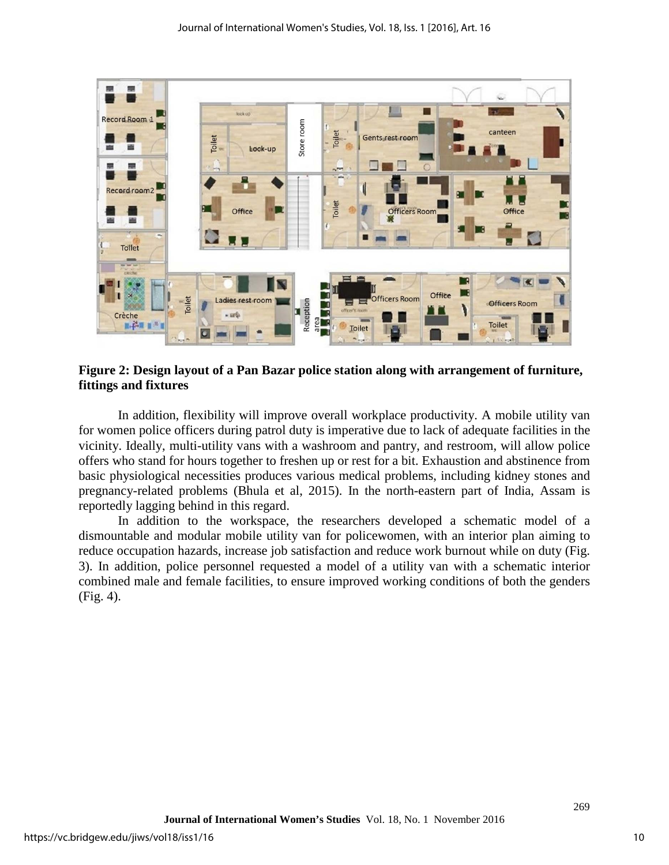

**Figure 2: Design layout of a Pan Bazar police station along with arrangement of furniture, fittings and fixtures**

In addition, flexibility will improve overall workplace productivity. A mobile utility van for women police officers during patrol duty is imperative due to lack of adequate facilities in the vicinity. Ideally, multi-utility vans with a washroom and pantry, and restroom, will allow police offers who stand for hours together to freshen up or rest for a bit. Exhaustion and abstinence from basic physiological necessities produces various medical problems, including kidney stones and pregnancy-related problems (Bhula et al, 2015). In the north-eastern part of India, Assam is reportedly lagging behind in this regard.

In addition to the workspace, the researchers developed a schematic model of a dismountable and modular mobile utility van for policewomen, with an interior plan aiming to reduce occupation hazards, increase job satisfaction and reduce work burnout while on duty (Fig. 3). In addition, police personnel requested a model of a utility van with a schematic interior combined male and female facilities, to ensure improved working conditions of both the genders (Fig. 4).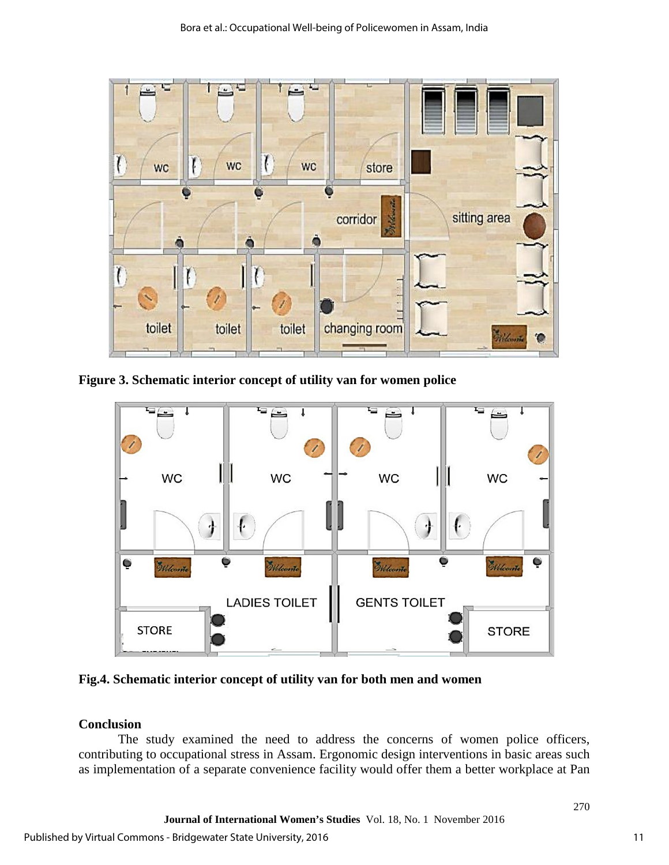

**Figure 3. Schematic interior concept of utility van for women police** 



**Fig.4. Schematic interior concept of utility van for both men and women**

## **Conclusion**

The study examined the need to address the concerns of women police officers, contributing to occupational stress in Assam. Ergonomic design interventions in basic areas such as implementation of a separate convenience facility would offer them a better workplace at Pan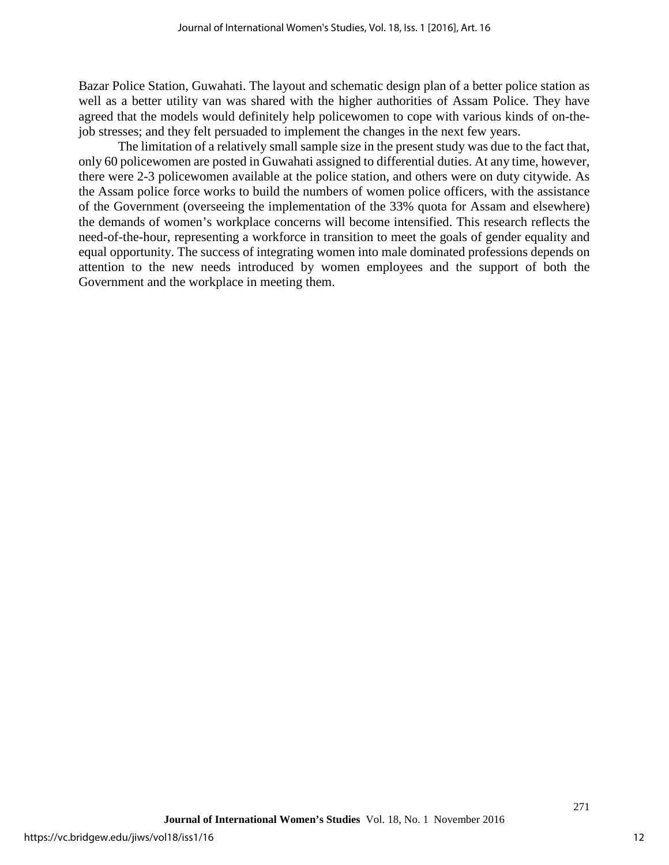Bazar Police Station, Guwahati. The layout and schematic design plan of a better police station as well as a better utility van was shared with the higher authorities of Assam Police. They have agreed that the models would definitely help policewomen to cope with various kinds of on-thejob stresses; and they felt persuaded to implement the changes in the next few years.

The limitation of a relatively small sample size in the present study was due to the fact that, only 60 policewomen are posted in Guwahati assigned to differential duties. At any time, however, there were 2-3 policewomen available at the police station, and others were on duty citywide. As the Assam police force works to build the numbers of women police officers, with the assistance of the Government (overseeing the implementation of the 33% quota for Assam and elsewhere) the demands of women's workplace concerns will become intensified. This research reflects the need-of-the-hour, representing a workforce in transition to meet the goals of gender equality and equal opportunity. The success of integrating women into male dominated professions depends on attention to the new needs introduced by women employees and the support of both the Government and the workplace in meeting them.